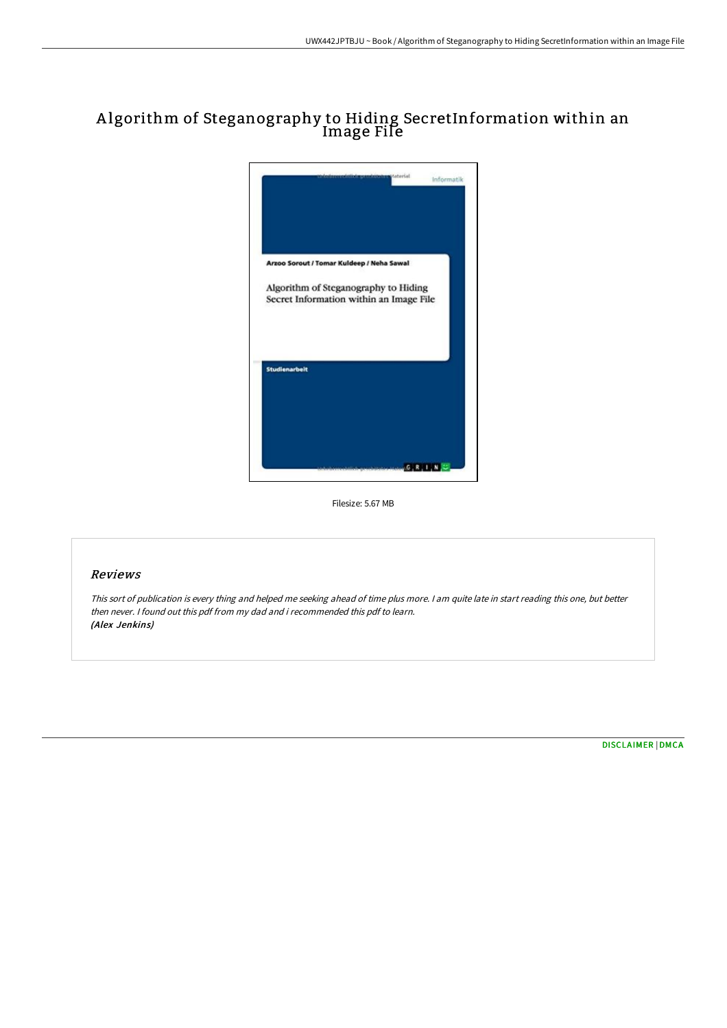# A lgorithm of Steganography to Hiding SecretInformation within an Image File



Filesize: 5.67 MB

## Reviews

This sort of publication is every thing and helped me seeking ahead of time plus more. <sup>I</sup> am quite late in start reading this one, but better then never. I found out this pdf from my dad and i recommended this pdf to learn. (Alex Jenkins)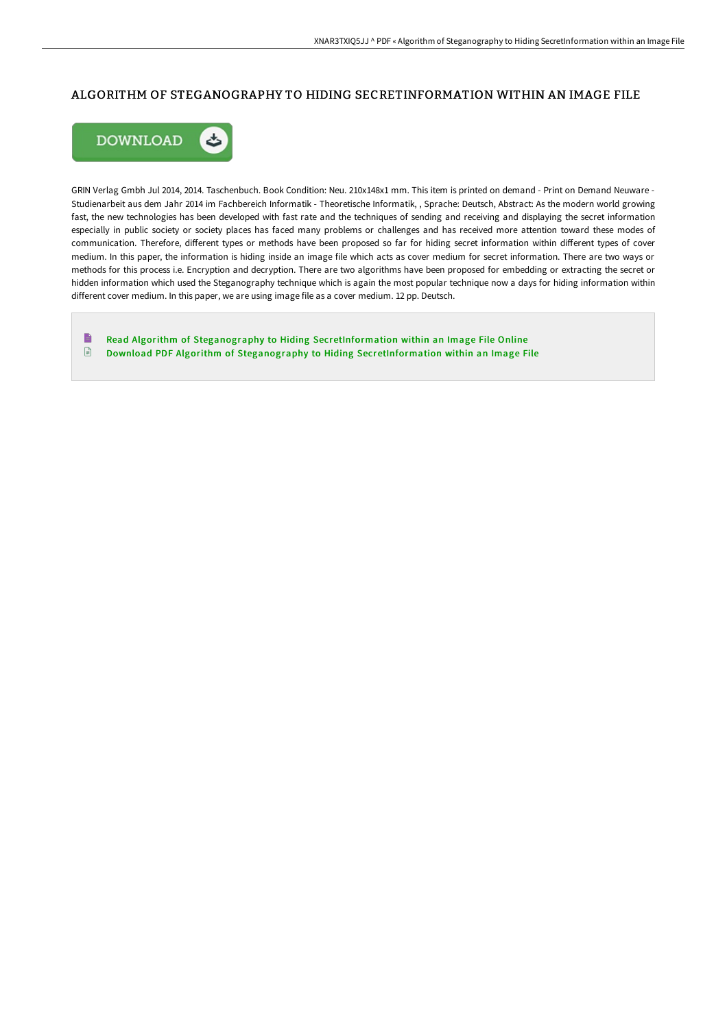## ALGORITHM OF STEGANOGRAPHY TO HIDING SECRETINFORMATION WITHIN AN IMAGE FILE



GRIN Verlag Gmbh Jul 2014, 2014. Taschenbuch. Book Condition: Neu. 210x148x1 mm. This item is printed on demand - Print on Demand Neuware - Studienarbeit aus dem Jahr 2014 im Fachbereich Informatik - Theoretische Informatik, , Sprache: Deutsch, Abstract: As the modern world growing fast, the new technologies has been developed with fast rate and the techniques of sending and receiving and displaying the secret information especially in public society or society places has faced many problems or challenges and has received more attention toward these modes of communication. Therefore, different types or methods have been proposed so far for hiding secret information within different types of cover medium. In this paper, the information is hiding inside an image file which acts as cover medium for secret information. There are two ways or methods for this process i.e. Encryption and decryption. There are two algorithms have been proposed for embedding or extracting the secret or hidden information which used the Steganography technique which is again the most popular technique now a days for hiding information within different cover medium. In this paper, we are using image file as a cover medium. 12 pp. Deutsch.

 $\blacksquare$ Read Algorithm of Steganography to Hiding [SecretInformation](http://techno-pub.tech/algorithm-of-steganography-to-hiding-secretinfor.html) within an Image File Online  $\begin{array}{c} \hline \Xi \end{array}$ Download PDF Algorithm of Steganography to Hiding [SecretInformation](http://techno-pub.tech/algorithm-of-steganography-to-hiding-secretinfor.html) within an Image File